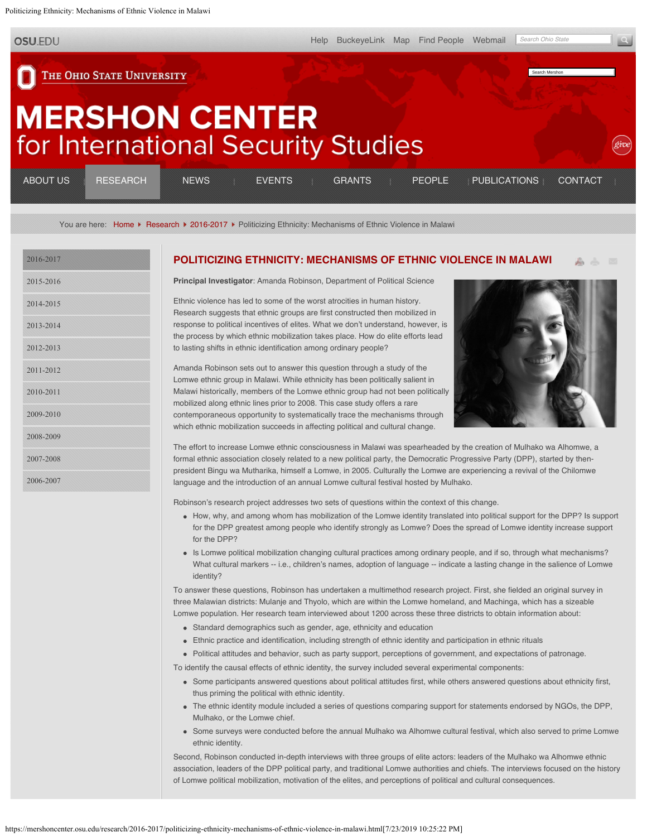<span id="page-0-0"></span>Politicizing Ethnicity: Mechanisms of Ethnic Violence in Malawi

**OSU.EDU** 

THE OHIO STATE UNIVERSITY

# **MERSHON CENTER** for International Security Studies

| ABOUT US | RESEARCH | <b>NEWS</b> | <b>EVENTS</b> | GRANTS <b>PEOPLE</b> | <b>PUBLICATIONS</b> | CONTACT |
|----------|----------|-------------|---------------|----------------------|---------------------|---------|
| ______   |          |             |               |                      |                     |         |

You are here: [Home](https://mershoncenter.osu.edu/) F [Research](https://mershoncenter.osu.edu/research.html) F [2016-2017](https://mershoncenter.osu.edu/research/2016-2017.html) F Politicizing Ethnicity: Mechanisms of Ethnic Violence in Malawi

| 2016-2017 |
|-----------|
| 2015-2016 |
| 2014-2015 |
| 2013-2014 |
| 2012-2013 |
| 2011-2012 |
| 2010-2011 |
| 2009-2010 |
| 2008-2009 |
| 2007-2008 |
| 2006-2007 |

#### **[POLITICIZING ETHNICITY: MECHANISMS OF ETHNIC VIOLENCE IN MALAWI](#page-0-0)**

**Principal Investigator**: Amanda Robinson, Department of Political Science

Ethnic violence has led to some of the worst atrocities in human history. Research suggests that ethnic groups are first constructed then mobilized in response to political incentives of elites. What we don't understand, however, is the process by which ethnic mobilization takes place. How do elite efforts lead to lasting shifts in ethnic identification among ordinary people?



Search Mershon

Amanda Robinson sets out to answer this question through a study of the Lomwe ethnic group in Malawi. While ethnicity has been politically salient in Malawi historically, members of the Lomwe ethnic group had not been politically mobilized along ethnic lines prior to 2008. This case study offers a rare contemporaneous opportunity to systematically trace the mechanisms through which ethnic mobilization succeeds in affecting political and cultural change.

The effort to increase Lomwe ethnic consciousness in Malawi was spearheaded by the creation of Mulhako wa Alhomwe, a formal ethnic association closely related to a new political party, the Democratic Progressive Party (DPP), started by thenpresident Bingu wa Mutharika, himself a Lomwe, in 2005. Culturally the Lomwe are experiencing a revival of the Chilomwe language and the introduction of an annual Lomwe cultural festival hosted by Mulhako.

Robinson's research project addresses two sets of questions within the context of this change.

- How, why, and among whom has mobilization of the Lomwe identity translated into political support for the DPP? Is support for the DPP greatest among people who identify strongly as Lomwe? Does the spread of Lomwe identity increase support for the DPP?
- Is Lomwe political mobilization changing cultural practices among ordinary people, and if so, through what mechanisms? What cultural markers -- i.e., children's names, adoption of language -- indicate a lasting change in the salience of Lomwe identity?

To answer these questions, Robinson has undertaken a multimethod research project. First, she fielded an original survey in three Malawian districts: Mulanje and Thyolo, which are within the Lomwe homeland, and Machinga, which has a sizeable Lomwe population. Her research team interviewed about 1200 across these three districts to obtain information about:

- Standard demographics such as gender, age, ethnicity and education
- Ethnic practice and identification, including strength of ethnic identity and participation in ethnic rituals
- Political attitudes and behavior, such as party support, perceptions of government, and expectations of patronage.

To identify the causal effects of ethnic identity, the survey included several experimental components:

- Some participants answered questions about political attitudes first, while others answered questions about ethnicity first, thus priming the political with ethnic identity.
- The ethnic identity module included a series of questions comparing support for statements endorsed by NGOs, the DPP, Mulhako, or the Lomwe chief.
- Some surveys were conducted before the annual Mulhako wa Alhomwe cultural festival, which also served to prime Lomwe ethnic identity.

Second, Robinson conducted in-depth interviews with three groups of elite actors: leaders of the Mulhako wa Alhomwe ethnic association, leaders of the DPP political party, and traditional Lomwe authorities and chiefs. The interviews focused on the history of Lomwe political mobilization, motivation of the elites, and perceptions of political and cultural consequences.